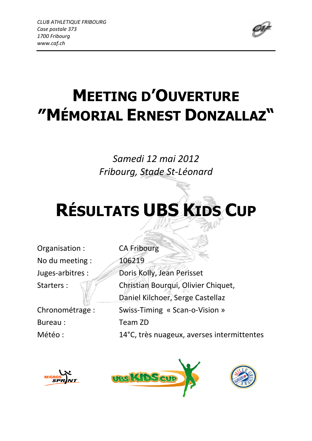

## MEETING D'OUVERTURE ″MÉMORIAL ERNEST DONZALLAZ"

### Samedi 12 mai 2012 Fribourg, Stade St-Léonard

# RÉSULTATS UBS KIDS CUP

Organisation : CA Fribourg No du meeting :  $\sqrt{106219}$ 

Bureau : Team ZD

Juges-arbitres : Doris Kolly, Jean Perisset Starters : William Christian Bourqui, Olivier Chiquet, Daniel Kilchoer, Serge Castellaz Chronométrage : Swiss-Timing « Scan-o-Vision » Météo : 14°C, très nuageux, averses intermittentes





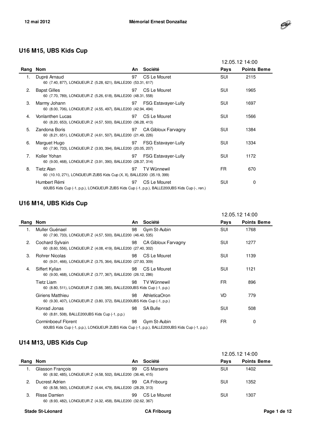

#### **U16 M15, UBS Kids Cup**

|      |                                                                                                              |    |                            | 12.05.12 14:00 |                    |
|------|--------------------------------------------------------------------------------------------------------------|----|----------------------------|----------------|--------------------|
| Rang | Nom                                                                                                          | An | Société                    | Pays           | <b>Points Beme</b> |
| 1.   | Dupré Arnaud<br>60 (7.40, 877), LONGUEUR Z (5.28, 621), BALLE200 (53.31, 617)                                | 97 | CS Le Mouret               | <b>SUI</b>     | 2115               |
| 2.   | <b>Bapst Gilles</b><br>60 (7.70, 789), LONGUEUR Z (5.26, 618), BALLE200 (48.31, 558)                         | 97 | CS Le Mouret               | <b>SUI</b>     | 1965               |
| 3.   | Marmy Johann<br>60 (8.00, 706), LONGUEUR Z (4.55, 497), BALLE200 (42.94, 494)                                | 97 | <b>FSG Estavayer-Lully</b> | <b>SUI</b>     | 1697               |
| 4.   | <b>Vonlanthen Lucas</b><br>60 (8.20, 653), LONGUEUR Z (4.57, 500), BALLE200 (36.28, 413)                     | 97 | CS Le Mouret               | <b>SUI</b>     | 1566               |
| 5.   | Zandona Boris<br>60 (8.21, 651), LONGUEUR Z (4.61, 507), BALLE200 (21.49, 226)                               | 97 | CA Gibloux Farvagny        | <b>SUI</b>     | 1384               |
| 6.   | Marguet Hugo<br>60 (7.90, 733), LONGUEUR Z (3.93, 394), BALLE200 (20.05, 207)                                | 97 | <b>FSG Estavayer-Lully</b> | <b>SUI</b>     | 1334               |
| 7.   | Koller Yohan<br>60 (9.00, 468), LONGUEUR Z (3.91, 390), BALLE200 (28.37, 314)                                | 97 | <b>FSG Estavayer-Lully</b> | <b>SUI</b>     | 1172               |
| 8.   | Tietz Alan<br>60 (10.10, 271), LONGUEUR ZUBS Kids Cup (X, X), BALLE200 (35.19, 399)                          | 97 | <b>TV Wünnewil</b>         | FR.            | 670                |
|      | Humbert Rémi<br>60UBS Kids Cup (-1, p.p.), LONGUEUR ZUBS Kids Cup (-1, p.p.), BALLE200UBS Kids Cup (-, ren.) | 97 | CS Le Mouret               | <b>SUI</b>     | 0                  |

#### **U16 M14, UBS Kids Cup**

|      |                                                                                                                      |    |                      |            | 12.05.12 14:00     |
|------|----------------------------------------------------------------------------------------------------------------------|----|----------------------|------------|--------------------|
| Rang | Nom                                                                                                                  | An | Société              | Pays       | <b>Points Beme</b> |
| 1.   | Muller Guénael<br>60 (7.90, 733), LONGUEUR Z (4.57, 500), BALLE200 (46.40, 535)                                      | 98 | Gym St-Aubin         | <b>SUI</b> | 1768               |
| 2.   | Cochard Sylvain<br>60 (8.60, 556), LONGUEUR Z (4.08, 419), BALLE200 (27.40, 302)                                     | 98 | CA Gibloux Farvagny  | SUI        | 1277               |
| 3.   | <b>Rohrer Nicolas</b><br>60 (9.01, 466), LONGUEUR Z (3.75, 364), BALLE200 (27.93, 309)                               | 98 | CS Le Mouret         | SUI        | 1139               |
| 4.   | Siffert Kylian<br>60 (9.00, 468), LONGUEUR Z (3.77, 367), BALLE200 (26.12, 286)                                      | 98 | CS Le Mouret         | SUI        | 1121               |
|      | Tietz Liam<br>60 (8.80, 511), LONGUEUR Z (3.88, 385), BALLE200UBS Kids Cup (-1, p.p.)                                | 98 | TV Wünnewil          | FR.        | 896                |
|      | Giriens Matthieu<br>60 (9.30, 407), LONGUEUR Z (3.80, 372), BALLE200UBS Kids Cup (-1, p.p.)                          | 98 | <b>AthleticaOron</b> | VD         | 779                |
|      | Konrad Jonas<br>60 (8.81, 508), BALLE200UBS Kids Cup (-1, p.p.)                                                      | 98 | <b>SA Bulle</b>      | SUI        | 508                |
|      | Corminboeuf Florent<br>60UBS Kids Cup (-1, p.p.), LONGUEUR ZUBS Kids Cup (-1, p.p.), BALLE200UBS Kids Cup (-1, p.p.) | 98 | Gym St-Aubin         | FR.        | 0                  |

#### **U14 M13, UBS Kids Cup**

|          |                                                                                   |    |              | 12.05.12 14:00 |                    |  |  |
|----------|-----------------------------------------------------------------------------------|----|--------------|----------------|--------------------|--|--|
| Rang Nom |                                                                                   | An | Société      | <b>Pavs</b>    | <b>Points Beme</b> |  |  |
|          | Glasson François<br>60 (8.92, 485), LONGUEUR Z (4.58, 502), BALLE200 (36.46, 415) | 99 | CS Marsens   | SUI            | 1402               |  |  |
| 2.       | Ducrest Adrien<br>60 (8.58, 560), LONGUEUR Z (4.44, 479), BALLE200 (28.29, 313)   | 99 | CA Fribourg  | SUI            | 1352               |  |  |
| 3.       | Risse Damien<br>60 (8.93, 482), LONGUEUR Z (4.32, 458), BALLE200 (32.62, 367)     | 99 | CS Le Mouret | SUI            | 1307               |  |  |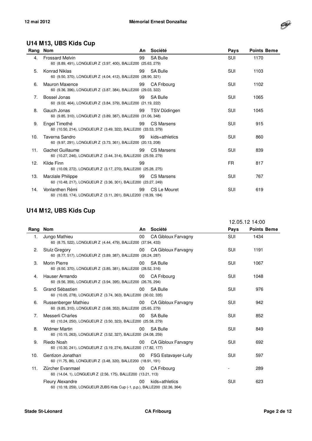

#### **U14 M13, UBS Kids Cup**

| Rang Nom |                                                                                         | An | Société            | Pays       | <b>Points Beme</b> |
|----------|-----------------------------------------------------------------------------------------|----|--------------------|------------|--------------------|
| 4.       | <b>Frossard Melvin</b><br>60 (8.89, 491), LONGUEUR Z (3.97, 400), BALLE200 (25.63, 279) | 99 | SA Bulle           | <b>SUI</b> | 1170               |
| 5.       | Konrad Niklas<br>60 (9.50, 370), LONGUEUR Z (4.04, 412), BALLE200 (28.90, 321)          | 99 | SA Bulle           | SUI        | 1103               |
| 6.       | Mauron Maxence<br>60 (9.36, 396), LONGUEUR Z (3.87, 384), BALLE200 (29.03, 322)         | 99 | <b>CA Fribourg</b> | SUI        | 1102               |
| 7.       | Bossel Jonas<br>60 (9.02, 464), LONGUEUR Z (3.84, 379), BALLE200 (21.19, 222)           | 99 | <b>SA Bulle</b>    | SUI        | 1065               |
| 8.       | Gauch Jonas<br>60 (9.85, 310), LONGUEUR Z (3.89, 387), BALLE200 (31.06, 348)            | 99 | TSV Düdingen       | SUI        | 1045               |
| 9.       | Engel Timothé<br>60 (10.50, 214), LONGUEUR Z (3.49, 322), BALLE200 (33.53, 379)         | 99 | <b>CS Marsens</b>  | <b>SUI</b> | 915                |
| 10.      | Taverna Sandro<br>60 (9.97, 291), LONGUEUR Z (3.73, 361), BALLE200 (20.13, 208)         | 99 | kids+athletics     | SUI        | 860                |
| 11.      | Gachet Guillaume<br>60 (10.27, 246), LONGUEUR Z (3.44, 314), BALLE200 (25.59, 279)      | 99 | <b>CS Marsens</b>  | SUI        | 839                |
| 12.      | Kilde Finn<br>60 (10.09, 272), LONGUEUR Z (3.17, 270), BALLE200 (25.28, 275)            | 99 |                    | FR.        | 817                |
| 13.      | Marziale Philippe<br>60 (10.48, 217), LONGUEUR Z (3.36, 301), BALLE200 (23.27, 249)     | 99 | <b>CS Marsens</b>  | <b>SUI</b> | 767                |
| 14.      | Vonlanthen Rémi<br>60 (10.83, 174), LONGUEUR Z (3.11, 261), BALLE200 (18.39, 184)       | 99 | CS Le Mouret       | SUI        | 619                |

#### **U14 M12, UBS Kids Cup**

|          |                                                                                                      |                 |                            | 12.05.12 14:00 |                    |
|----------|------------------------------------------------------------------------------------------------------|-----------------|----------------------------|----------------|--------------------|
| Rang Nom |                                                                                                      | An              | Société                    | Pays           | <b>Points Beme</b> |
| 1.       | Jungo Mathieu<br>60 (8.75, 522), LONGUEUR Z (4.44, 479), BALLE200 (37.94, 433)                       | $00\,$          | CA Gibloux Farvagny        | SUI            | 1434               |
| 2.       | <b>Stulz Gregory</b><br>60 (8.77, 517), LONGUEUR Z (3.89, 387), BALLE200 (26.24, 287)                | 00 <sup>°</sup> | CA Gibloux Farvagny        | <b>SUI</b>     | 1191               |
| 3.       | <b>Morin Pierre</b><br>60 (9.50, 370), LONGUEUR Z (3.85, 381), BALLE200 (28.52, 316)                 | 00              | <b>SA Bulle</b>            | SUI            | 1067               |
| 4.       | Hauser Armando<br>60 (9.56, 359), LONGUEUR Z (3.94, 395), BALLE200 (26.76, 294)                      | 00              | <b>CA Fribourg</b>         | <b>SUI</b>     | 1048               |
| 5.       | Grand Sébastien<br>60 (10.05, 278), LONGUEUR Z (3.74, 363), BALLE200 (30.02, 335)                    | 00              | SA Bulle                   | <b>SUI</b>     | 976                |
| 6.       | Russenberger Mathieu<br>60 (9.85, 310), LONGUEUR Z (3.68, 353), BALLE200 (25.65, 279)                | 00              | CA Gibloux Farvagny        | <b>SUI</b>     | 942                |
| 7.       | Messerli Charles<br>60 (10.24, 250), LONGUEUR Z (3.50, 323), BALLE200 (25.58, 279)                   | 00              | SA Bulle                   | <b>SUI</b>     | 852                |
| 8.       | <b>Widmer Martin</b><br>60 (10.15, 263), LONGUEUR Z (3.52, 327), BALLE200 (24.08, 259)               | 00              | <b>SA Bulle</b>            | <b>SUI</b>     | 849                |
| 9.       | Riedo Noah<br>60 (10.30, 241), LONGUEUR Z (3.19, 274), BALLE200 (17.82, 177)                         | 00 <sup>°</sup> | <b>CA Gibloux Farvagny</b> | <b>SUI</b>     | 692                |
| 10.      | Gentizon Jonathan<br>60 (11.75, 86), LONGUEUR Z (3.48, 320), BALLE200 (18.91, 191)                   | $00\,$          | <b>FSG Estavayer-Lully</b> | <b>SUI</b>     | 597                |
| 11.      | Zürcher Evanmael<br>60 (14.04, 1), LONGUEUR Z (2.56, 175), BALLE200 (13.21, 113)                     | $00\,$          | <b>CA Fribourg</b>         |                | 289                |
|          | <b>Fleury Alexandre</b><br>60 (10.18, 259), LONGUEUR ZUBS Kids Cup (-1, p.p.), BALLE200 (32.36, 364) | 00              | kids+athletics             | SUI            | 623                |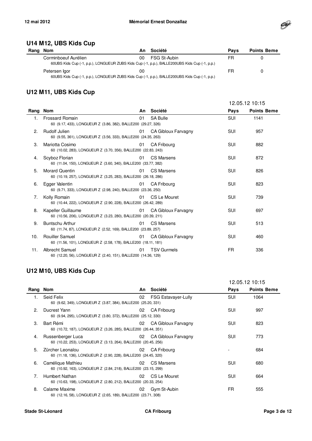

#### **U14 M12, UBS Kids Cup**

| Rang Nom |                                                                                               | An | Société      | <b>Pavs</b> | <b>Points Beme</b> |
|----------|-----------------------------------------------------------------------------------------------|----|--------------|-------------|--------------------|
|          | Corminboeuf Aurélien                                                                          | 00 | FSG St-Aubin | FR          |                    |
|          | 60UBS Kids Cup (-1, p.p.), LONGUEUR ZUBS Kids Cup (-1, p.p.), BALLE200UBS Kids Cup (-1, p.p.) |    |              |             |                    |
|          | Petersen Igor                                                                                 | 00 |              | FR          | O                  |
|          | 60UBS Kids Cup (-1, p.p.), LONGUEUR ZUBS Kids Cup (-1, p.p.), BALLE200UBS Kids Cup (-1, p.p.) |    |              |             |                    |

#### **U12 M11, UBS Kids Cup**

|      |                                                                                          |    |                            | 12.05.12 10:15 |                    |
|------|------------------------------------------------------------------------------------------|----|----------------------------|----------------|--------------------|
| Rang | <b>Nom</b>                                                                               | An | Société                    | Pays           | <b>Points Beme</b> |
| 1.   | <b>Frossard Romain</b><br>60 (9.17, 433), LONGUEUR Z (3.86, 382), BALLE200 (29.27, 326)  | 01 | <b>SA Bulle</b>            | <b>SUI</b>     | 1141               |
| 2.   | Rudolf Julien<br>60 (9.55, 361), LONGUEUR Z (3.56, 333), BALLE200 (24.35, 263)           | 01 | CA Gibloux Farvagny        | <b>SUI</b>     | 957                |
| 3.   | Mariotta Cosimo<br>60 (10.02, 283), LONGUEUR Z (3.70, 356), BALLE200 (22.83, 243)        | 01 | <b>CA Fribourg</b>         | <b>SUI</b>     | 882                |
| 4.   | Scyboz Florian<br>60 (11.04, 150), LONGUEUR Z (3.60, 340), BALLE200 (33.77, 382)         | 01 | CS Marsens                 | <b>SUI</b>     | 872                |
| 5.   | <b>Morard Quentin</b><br>60 (10.19, 257), LONGUEUR Z (3.25, 283), BALLE200 (26.18, 286)  | 01 | <b>CS Marsens</b>          | SUI            | 826                |
| 6.   | Egger Valentin<br>60 (9.71, 333), LONGUEUR Z (2.98, 240), BALLE200 (23.36, 250)          | 01 | <b>CA Fribourg</b>         | <b>SUI</b>     | 823                |
| 7.   | Kolly Romain<br>60 (10.44, 222), LONGUEUR Z (2.90, 228), BALLE200 (26.42, 289)           | 01 | CS Le Mouret               | <b>SUI</b>     | 739                |
| 8.   | Kapeller Guillaume<br>60 (10.56, 206), LONGUEUR Z (3.23, 280), BALLE200 (20.39, 211)     | 01 | CA Gibloux Farvagny        | <b>SUI</b>     | 697                |
| 9.   | Buntschu Arthur<br>60 (11.74, 87), LONGUEUR Z (2.52, 169), BALLE200 (23.89, 257)         | 01 | <b>CS Marsens</b>          | <b>SUI</b>     | 513                |
| 10.  | <b>Rouiller Samuel</b><br>60 (11.56, 101), LONGUEUR Z (2.58, 178), BALLE200 (18.11, 181) | 01 | <b>CA Gibloux Farvagny</b> | <b>SUI</b>     | 460                |
| 11.  | Albrecht Samuel<br>60 (12.20, 56), LONGUEUR Z (2.40, 151), BALLE200 (14.36, 129)         | 01 | <b>TSV Gurmels</b>         | FR             | 336                |

#### **U12 M10, UBS Kids Cup**

|                |                                                                                     |    |                            | 12.05.12 10:15 |                    |
|----------------|-------------------------------------------------------------------------------------|----|----------------------------|----------------|--------------------|
| Rang           | Nom                                                                                 | An | Société                    | Pays           | <b>Points Beme</b> |
| 1.             | Seid Felix<br>60 (9.62, 349), LONGUEUR Z (3.87, 384), BALLE200 (25.20, 331)         | 02 | <b>FSG Estavayer-Lully</b> | <b>SUI</b>     | 1064               |
| $\mathcal{P}$  | Ducrest Yann<br>60 (9.94, 295), LONGUEUR Z (3.80, 372), BALLE200 (25.12, 330)       | 02 | CA Fribourg                | SUI            | 997                |
| 3.             | Bart Rémi<br>60 (10.72, 187), LONGUEUR Z (3.26, 285), BALLE200 (26.44, 351)         | 02 | CA Gibloux Farvagny        | SUI            | 823                |
| 4.             | Russenberger Luca<br>60 (10.22, 253), LONGUEUR Z (3.13, 264), BALLE200 (20.45, 256) | 02 | CA Gibloux Farvagny        | SUI            | 773                |
| 5.             | Zürcher Leonalou<br>60 (11.18, 136), LONGUEUR Z (2.90, 228), BALLE200 (24.45, 320)  | 02 | CA Fribourg                |                | 684                |
| 6.             | Camélique Mathieu<br>60 (10.92, 163), LONGUEUR Z (2.84, 218), BALLE200 (23.15, 299) | 02 | CS Marsens                 | SUI            | 680                |
| 7 <sub>1</sub> | Humbert Nathan<br>60 (10.63, 198), LONGUEUR Z (2.80, 212), BALLE200 (20.33, 254)    | 02 | CS Le Mouret               | SUI            | 664                |
| 8.             | Calame Maxime<br>60 (12.16, 58), LONGUEUR Z (2.65, 189), BALLE200 (23.71, 308)      | 02 | Gym St-Aubin               | <b>FR</b>      | 555                |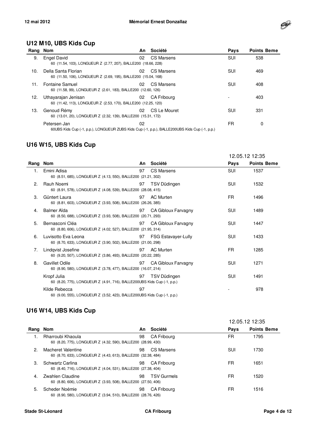

#### **U12 M10, UBS Kids Cup**

| Rang Nom |                                                                                                               | An | Société            | Pays       | <b>Points Beme</b> |
|----------|---------------------------------------------------------------------------------------------------------------|----|--------------------|------------|--------------------|
| 9.       | <b>Engel David</b><br>60 (11.54, 103), LONGUEUR Z (2.77, 207), BALLE200 (18.66, 228)                          | 02 | CS Marsens         | <b>SUI</b> | 538                |
| 10.      | Della Santa Florian<br>60 (11.50, 106), LONGUEUR Z (2.69, 195), BALLE200 (15.04, 168)                         | 02 | CS Marsens         | SUI        | 469                |
| 11.      | Fontaine Samuel<br>60 (11.58, 99), LONGUEUR Z (2.61, 183), BALLE200 (12.60, 126)                              | 02 | CS Marsens         | SUI        | 408                |
| 12.      | Uthayarajan Jenisan<br>60 (11.42, 113), LONGUEUR Z (2.53, 170), BALLE200 (12.25, 120)                         | 02 | <b>CA Fribourg</b> |            | 403                |
| 13.      | Genoud Rémy<br>60 (13.01, 20), LONGUEUR Z (2.32, 139), BALLE200 (15.31, 172)                                  | 02 | CS Le Mouret       | SUI        | 331                |
|          | Petersen Jan<br>60UBS Kids Cup (-1, p.p.), LONGUEUR ZUBS Kids Cup (-1, p.p.), BALLE200UBS Kids Cup (-1, p.p.) | 02 |                    | FR         | 0                  |

#### **U16 W15, UBS Kids Cup**

|          |                                                                                          |    |                     | 12.05.12 12:35 |                    |
|----------|------------------------------------------------------------------------------------------|----|---------------------|----------------|--------------------|
| Rang Nom |                                                                                          | An | Société             | Pays           | <b>Points Beme</b> |
| 1.       | Emini Adisa<br>60 (8.51, 685), LONGUEUR Z (4.13, 550), BALLE200 (21.21, 302)             | 97 | CS Marsens          | <b>SUI</b>     | 1537               |
| 2.       | Rauh Noemi<br>60 (8.91, 578), LONGUEUR Z (4.08, 539), BALLE200 (28.08, 415)              | 97 | TSV Düdingen        | SUI            | 1532               |
| 3.       | Güntert Laura<br>60 (8.81, 603), LONGUEUR Z (3.93, 508), BALLE200 (26.26, 385)           | 97 | <b>AC Murten</b>    | FR             | 1496               |
| 4.       | Balmer Aïda<br>60 (8.50, 688), LONGUEUR Z (3.93, 508), BALLE200 (20.71, 293)             | 97 | CA Gibloux Farvagny | SUI            | 1489               |
| 5.       | Bernasconi Cléa<br>60 (8.80, 606), LONGUEUR Z (4.02, 527), BALLE200 (21.95, 314)         | 97 | CA Gibloux Farvagny | SUI            | 1447               |
| 6.       | Luvisotto Eva Leona<br>60 (8.70, 633), LONGUEUR Z (3.90, 502), BALLE200 (21.00, 298)     | 97 | FSG Estavayer-Lully | SUI            | 1433               |
| 7.       | Lindqvist Josefine<br>60 (9.20, 507), LONGUEUR Z (3.86, 493), BALLE200 (20.22, 285)      | 97 | <b>AC Murten</b>    | FR.            | 1285               |
| 8.       | Gavillet Odile<br>60 (8.90, 580), LONGUEUR Z (3.78, 477), BALLE200 (16.07, 214)          | 97 | CA Gibloux Farvagny | SUI            | 1271               |
|          | Kropf Julia<br>60 (8.20, 775), LONGUEUR Z (4.91, 716), BALLE200UBS Kids Cup (-1, p.p.)   | 97 | TSV Düdingen        | SUI            | 1491               |
|          | Kilde Rebecca<br>60 (9.00, 555), LONGUEUR Z (3.52, 423), BALLE200UBS Kids Cup (-1, p.p.) | 97 |                     |                | 978                |

#### **U16 W14, UBS Kids Cup**

|          |                                                                                     |    |                    | 12.05.12 12:35 |                    |
|----------|-------------------------------------------------------------------------------------|----|--------------------|----------------|--------------------|
| Rang Nom |                                                                                     | An | Société            | Pays           | <b>Points Beme</b> |
|          | Rharroubi Khaoula<br>60 (8.20, 775), LONGUEUR Z (4.32, 590), BALLE200 (28.99, 430)  | 98 | CA Fribourg        | FR             | 1795               |
| 2.       | Macheret Valentine<br>60 (8.70, 633), LONGUEUR Z (4.43, 613), BALLE200 (32.38, 484) | 98 | CS Marsens         | SUI            | 1730               |
| 3.       | Schwartz Carlina<br>60 (8.40, 716), LONGUEUR Z (4.04, 531), BALLE200 (27.38, 404)   | 98 | CA Fribourg        | FR             | 1651               |
| 4.       | Zwahlen Claudine<br>60 (8.80, 606), LONGUEUR Z (3.93, 508), BALLE200 (27.50, 406)   | 98 | <b>TSV Gurmels</b> | FR             | 1520               |
| 5.       | Scheder Noémie<br>60 (8.90, 580), LONGUEUR Z (3.94, 510), BALLE200 (28.76, 426)     | 98 | CA Fribourg        | FR             | 1516               |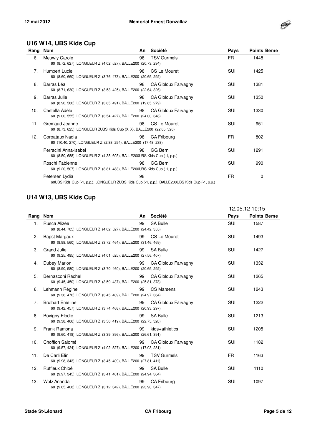

#### **U16 W14, UBS Kids Cup**

| Rang Nom       |                                                                                                                 | An | Société             | Pays       | <b>Points Beme</b> |
|----------------|-----------------------------------------------------------------------------------------------------------------|----|---------------------|------------|--------------------|
| 6.             | Meuwly Carole<br>60 (8.72, 627), LONGUEUR Z (4.02, 527), BALLE200 (20.73, 294)                                  | 98 | <b>TSV Gurmels</b>  | FR.        | 1448               |
| 7 <sub>1</sub> | Humbert Lucie<br>60 (8.60, 660), LONGUEUR Z (3.76, 473), BALLE200 (20.65, 292)                                  | 98 | CS Le Mouret        | <b>SUI</b> | 1425               |
| 8.             | Barras Léa<br>60 (8.71, 630), LONGUEUR Z (3.53, 425), BALLE200 (22.64, 326)                                     | 98 | CA Gibloux Farvagny | <b>SUI</b> | 1381               |
| 9.             | Barras Julie<br>60 (8.90, 580), LONGUEUR Z (3.85, 491), BALLE200 (19.85, 279)                                   | 98 | CA Gibloux Farvagny | <b>SUI</b> | 1350               |
| 10.            | Castella Adèle<br>60 (9.00, 555), LONGUEUR Z (3.54, 427), BALLE200 (24.00, 348)                                 | 98 | CA Gibloux Farvagny | SUI        | 1330               |
| 11.            | Gremaud Jeanne<br>60 (8.73, 625), LONGUEUR ZUBS Kids Cup (X, X), BALLE200 (22.65, 326)                          | 98 | CS Le Mouret        | SUI        | 951                |
| 12.            | Corpataux Nadia<br>60 (10.40, 270), LONGUEUR Z (2.88, 294), BALLE200 (17.48, 238)                               | 98 | <b>CA Fribourg</b>  | FR.        | 802                |
|                | Perracini Anna-Isabel<br>60 (8.50, 688), LONGUEUR Z (4.38, 603), BALLE200UBS Kids Cup (-1, p.p.)                | 98 | GG Bern             | <b>SUI</b> | 1291               |
|                | Roschi Fabienne<br>60 (9.20, 507), LONGUEUR Z (3.81, 483), BALLE200UBS Kids Cup (-1, p.p.)                      | 98 | GG Bern             | SUI        | 990                |
|                | Petersen Lydia<br>60UBS Kids Cup (-1, p.p.), LONGUEUR ZUBS Kids Cup (-1, p.p.), BALLE200UBS Kids Cup (-1, p.p.) | 98 |                     | FR.        | 0                  |

#### **U14 W13, UBS Kids Cup**

|          |                                                                                          |    |                            | 12.05.12 10:15 |                    |
|----------|------------------------------------------------------------------------------------------|----|----------------------------|----------------|--------------------|
| Rang Nom |                                                                                          | An | Société                    | Pays           | <b>Points Beme</b> |
| 1.       | Rusca Alizée<br>60 (8.44, 705), LONGUEUR Z (4.02, 527), BALLE200 (24.42, 355)            | 99 | <b>SA Bulle</b>            | <b>SUI</b>     | 1587               |
| 2.       | <b>Bapst Margaux</b><br>60 (8.98, 560), LONGUEUR Z (3.72, 464), BALLE200 (31.46, 469)    | 99 | CS Le Mouret               | <b>SUI</b>     | 1493               |
| 3.       | <b>Grand Julie</b><br>60 (9.25, 495), LONGUEUR Z (4.01, 525), BALLE200 (27.56, 407)      | 99 | <b>SA Bulle</b>            | <b>SUI</b>     | 1427               |
| 4.       | <b>Dubey Marion</b><br>60 (8.90, 580), LONGUEUR Z (3.70, 460), BALLE200 (20.65, 292)     | 99 | CA Gibloux Farvagny        | <b>SUI</b>     | 1332               |
| 5.       | Bernasconi Rachel<br>60 (9.45, 450), LONGUEUR Z (3.59, 437), BALLE200 (25.81, 378)       | 99 | <b>CA Gibloux Farvagny</b> | <b>SUI</b>     | 1265               |
| 6.       | Lehmann Régine<br>60 (9.36, 470), LONGUEUR Z (3.45, 409), BALLE200 (24.97, 364)          | 99 | <b>CS Marsens</b>          | <b>SUI</b>     | 1243               |
| 7.       | <b>Brülhart Emeline</b><br>60 (9.42, 457), LONGUEUR Z (3.74, 468), BALLE200 (20.93, 297) | 99 | <b>CA Gibloux Farvagny</b> | <b>SUI</b>     | 1222               |
| 8.       | <b>Bovigny Elodie</b><br>60 (9.38, 466), LONGUEUR Z (3.50, 419), BALLE200 (22.75, 328)   | 99 | <b>SA Bulle</b>            | <b>SUI</b>     | 1213               |
| 9.       | Frank Ramona<br>60 (9.60, 418), LONGUEUR Z (3.39, 396), BALLE200 (26.61, 391)            | 99 | kids+athletics             | <b>SUI</b>     | 1205               |
| 10.      | Chofflon Salomé<br>60 (9.57, 424), LONGUEUR Z (4.02, 527), BALLE200 (17.03, 231)         | 99 | CA Gibloux Farvagny        | SUI            | 1182               |
| 11.      | De Carli Elin<br>60 (9.98, 343), LONGUEUR Z (3.45, 409), BALLE200 (27.81, 411)           | 99 | <b>TSV Gurmels</b>         | <b>FR</b>      | 1163               |
| 12.      | Ruffieux Chloé<br>60 (9.97, 345), LONGUEUR Z (3.41, 401), BALLE200 (24.94, 364)          | 99 | <b>SA Bulle</b>            | <b>SUI</b>     | 1110               |
| 13.      | <b>Wolz Ananda</b><br>60 (9.65, 408), LONGUEUR Z (3.12, 342), BALLE200 (23.90, 347)      | 99 | <b>CA Fribourg</b>         | <b>SUI</b>     | 1097               |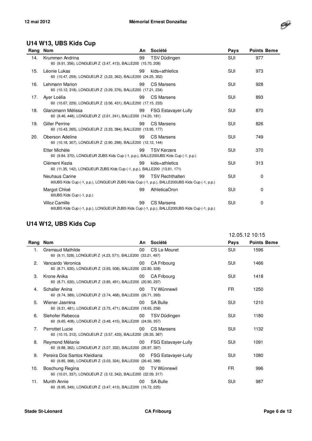

#### **U14 W13, UBS Kids Cup**

| Rang Nom |                                                                                                                        | An | Société                    | Pays       | <b>Points Beme</b> |
|----------|------------------------------------------------------------------------------------------------------------------------|----|----------------------------|------------|--------------------|
| 14.      | Krummen Andrina<br>60 (9.91, 356), LONGUEUR Z (3.47, 413), BALLE200 (15.70, 208)                                       | 99 | TSV Düdingen               | SUI        | 977                |
| 15.      | Léonie Lukas<br>60 (10.47, 259), LONGUEUR Z (3.22, 362), BALLE200 (24.25, 352)                                         | 99 | kids+athletics             | SUI        | 973                |
| 16.      | <b>Lehmann Marion</b><br>60 (10.12, 318), LONGUEUR Z (3.29, 376), BALLE200 (17.21, 234)                                | 99 | <b>CS Marsens</b>          | SUI        | 928                |
| 17.      | Aver Loélia<br>60 (10.67, 229), LONGUEUR Z (3.56, 431), BALLE200 (17.15, 233)                                          | 99 | <b>CS Marsens</b>          | SUI        | 893                |
| 18.      | Glanzmann Mélissa<br>60 (9.46, 448), LONGUEUR Z (2.61, 241), BALLE200 (14.20, 181)                                     | 99 | <b>FSG Estavayer-Lully</b> | SUI        | 870                |
| 19.      | <b>Giller Perrine</b><br>60 (10.43, 265), LONGUEUR Z (3.33, 384), BALLE200 (13.95, 177)                                | 99 | <b>CS Marsens</b>          | SUI        | 826                |
| 20.      | Oberson Adeline<br>60 (10.18, 307), LONGUEUR Z (2.90, 298), BALLE200 (12.12, 144)                                      | 99 | CS Marsens                 | SUI        | 749                |
|          | Etter Michèle<br>60 (9.84, 370), LONGUEUR ZUBS Kids Cup (-1, p.p.), BALLE200UBS Kids Cup (-1, p.p.)                    | 99 | <b>TSV Kerzers</b>         | SUI        | 370                |
|          | Clément Kezia<br>60 (11.35, 142), LONGUEUR ZUBS Kids Cup (-1, p.p.), BALLE200 (13.61, 171)                             | 99 | kids+athletics             | SUI        | 313                |
|          | <b>Neuhaus Carine</b><br>60UBS Kids Cup (-1, p.p.), LONGUEUR ZUBS Kids Cup (-1, p.p.), BALLE200UBS Kids Cup (-1, p.p.) | 99 | <b>TSV Rechthalten</b>     | <b>SUI</b> | 0                  |
|          | Margot Chloé<br>60UBS Kids Cup (-1, p.p.)                                                                              | 99 | <b>AthleticaOron</b>       | SUI        | 0                  |
|          | <b>Villoz Camille</b><br>60UBS Kids Cup (-1, p.p.), LONGUEUR ZUBS Kids Cup (-1, p.p.), BALLE200UBS Kids Cup (-1, p.p.) | 99 | <b>CS Marsens</b>          | <b>SUI</b> | 0                  |

#### **U14 W12, UBS Kids Cup**

|          |                                                                                               |                 |                            | 12.05.12 10:15 |                    |
|----------|-----------------------------------------------------------------------------------------------|-----------------|----------------------------|----------------|--------------------|
| Rang Nom |                                                                                               | An              | Société                    | Pays           | <b>Points Beme</b> |
| 1.       | <b>Gremaud Mathilde</b><br>60 (9.11, 528), LONGUEUR Z (4.23, 571), BALLE200 (33.21, 497)      | $00\,$          | CS Le Mouret               | <b>SUI</b>     | 1596               |
| 2.       | Vancardo Veronica<br>60 (8.71, 630), LONGUEUR Z (3.93, 508), BALLE200 (22.80, 328)            | 00 <sup>°</sup> | <b>CA Fribourg</b>         | SUI            | 1466               |
| 3.       | Krone Anika<br>60 (8.71, 630), LONGUEUR Z (3.85, 491), BALLE200 (20.90, 297)                  | 00              | <b>CA Fribourg</b>         | <b>SUI</b>     | 1418               |
| 4.       | Schaller Anina<br>60 (9.74, 389), LONGUEUR Z (3.74, 468), BALLE200 (26.71, 393)               | 00              | <b>TV Wünnewil</b>         | <b>FR</b>      | 1250               |
| 5.       | Wiener Jasmina<br>60 (9.31, 481), LONGUEUR Z (3.75, 471), BALLE200 (18.65, 258)               | 00              | <b>SA Bulle</b>            | <b>SUI</b>     | 1210               |
| 6.       | Slehofer Rebecca<br>60 (9.65, 408), LONGUEUR Z (3.48, 415), BALLE200 (24.56, 357)             | $00\,$          | TSV Düdingen               | <b>SUI</b>     | 1180               |
| 7.       | Perrottet Lucie<br>60 (10.15, 312), LONGUEUR Z (3.57, 433), BALLE200 (26.35, 387)             | $00\,$          | CS Marsens                 | <b>SUI</b>     | 1132               |
| 8.       | Reymond Mélanie<br>60 (9.88, 362), LONGUEUR Z (3.07, 332), BALLE200 (26.97, 397)              | 00              | <b>FSG Estavayer-Lully</b> | <b>SUI</b>     | 1091               |
| 9.       | Pereira Dos Santos Kleidiana<br>60 (9.85, 368), LONGUEUR Z (3.03, 324), BALLE200 (26.40, 388) | 00              | <b>FSG Estavayer-Lully</b> | <b>SUI</b>     | 1080               |
| 10.      | Boschung Regina<br>60 (10.01, 337), LONGUEUR Z (3.12, 342), BALLE200 (22.09, 317)             | 00              | <b>TV Wünnewil</b>         | FR.            | 996                |
| 11.      | Murith Annie<br>60 (9.95, 349), LONGUEUR Z (3.47, 413), BALLE200 (16.72, 225)                 | 00              | <b>SA Bulle</b>            | <b>SUI</b>     | 987                |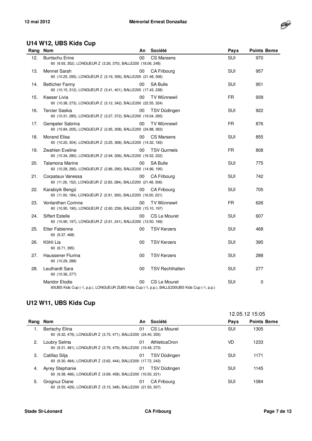

#### **U14 W12, UBS Kids Cup**

| Rang Nom |                                                                                                                        | An      | Société                | Pays       | <b>Points Beme</b> |
|----------|------------------------------------------------------------------------------------------------------------------------|---------|------------------------|------------|--------------------|
| 12.      | <b>Buntschu Erine</b><br>60 (9.93, 352), LONGUEUR Z (3.26, 370), BALLE200 (18.06, 248)                                 | 00      | <b>CS Marsens</b>      | <b>SUI</b> | 970                |
| 13.      | Mennel Sarah<br>60 (10.25, 295), LONGUEUR Z (3.19, 356), BALLE200 (21.48, 306)                                         | 00      | CA Fribourg            | SUI        | 957                |
| 14.      | <b>Betticher Fanny</b><br>60 (10.15, 312), LONGUEUR Z (3.41, 401), BALLE200 (17.43, 238)                               | 00      | <b>SA Bulle</b>        | SUI        | 951                |
| 15.      | Kaeser Livia<br>60 (10.38, 273), LONGUEUR Z (3.12, 342), BALLE200 (22.55, 324)                                         | $00 \,$ | TV Wünnewil            | FR         | 939                |
| 16.      | Tercier Saskia<br>60 (10.31, 285), LONGUEUR Z (3.27, 372), BALLE200 (19.04, 265)                                       | 00      | TSV Düdingen           | SUI        | 922                |
| 17.      | Gempeler Sabrina<br>60 (10.84, 205), LONGUEUR Z (2.95, 308), BALLE200 (24.88, 363)                                     | 00      | <b>TV Wünnewil</b>     | FR.        | 876                |
| 18.      | <b>Morand Elisa</b><br>60 (10.20, 304), LONGUEUR Z (3.25, 368), BALLE200 (14.32, 183)                                  | 00      | <b>CS Marsens</b>      | SUI        | 855                |
| 19.      | <b>Zwahlen Eveline</b><br>60 (10.34, 280), LONGUEUR Z (2.94, 306), BALLE200 (16.52, 222)                               | 00      | <b>TSV Gurmels</b>     | <b>FR</b>  | 808                |
| 20.      | Talamona Marine<br>60 (10.28, 290), LONGUEUR Z (2.86, 290), BALLE200 (14.96, 195)                                      | 00      | <b>SA Bulle</b>        | <b>SUI</b> | 775                |
| 21.      | Corpataux Vanessa<br>60 (11.26, 152), LONGUEUR Z (2.83, 284), BALLE200 (21.48, 306)                                    | 00      | <b>CA Fribourg</b>     | <b>SUI</b> | 742                |
| 22.      | Karabiyik Bengü<br>60 (11.00, 184), LONGUEUR Z (2.91, 300), BALLE200 (16.50, 221)                                      | 00      | <b>CA Fribourg</b>     | SUI        | 705                |
| 23.      | <b>Vonlanthen Corinne</b><br>60 (10.95, 190), LONGUEUR Z (2.60, 239), BALLE200 (15.10, 197)                            | 00      | <b>TV Wünnewil</b>     | FR.        | 626                |
| 24.      | <b>Siffert Estelle</b><br>60 (10.90, 197), LONGUEUR Z (2.61, 241), BALLE200 (13.50, 169)                               | 00      | CS Le Mouret           | <b>SUI</b> | 607                |
| 25.      | <b>Etter Fabienne</b><br>60 (9.37, 468)                                                                                | 00      | <b>TSV Kerzers</b>     | <b>SUI</b> | 468                |
| 26.      | Köhli Lia<br>60 (9.71, 395)                                                                                            | 00      | <b>TSV Kerzers</b>     | SUI        | 395                |
| 27.      | Haussener Flurina<br>60 (10.29, 288)                                                                                   | 00      | <b>TSV Kerzers</b>     | SUI        | 288                |
| 28.      | Leuthardt Sara<br>60 (10.36, 277)                                                                                      | 00      | <b>TSV Rechthalten</b> | <b>SUI</b> | 277                |
|          | <b>Maridor Elodie</b><br>60UBS Kids Cup (-1, p.p.), LONGUEUR ZUBS Kids Cup (-1, p.p.), BALLE200UBS Kids Cup (-1, p.p.) | 00      | CS Le Mouret           | <b>SUI</b> | 0                  |

#### **U12 W11, UBS Kids Cup**

|      |                                                                                         |    |                    | 12.05.12 15:05 |                    |
|------|-----------------------------------------------------------------------------------------|----|--------------------|----------------|--------------------|
| Rang | Nom                                                                                     | An | Société            | Pays           | <b>Points Beme</b> |
|      | Bertschy Elina<br>60 (9.32, 479), LONGUEUR Z (3.75, 471), BALLE200 (24.40, 355)         | 01 | CS Le Mouret       | <b>SUI</b>     | 1305               |
| 2.   | Loubry Selma<br>60 (9.31, 481), LONGUEUR Z (3.79, 479), BALLE200 (19.48, 273)           | 01 | AthleticaOron      | VD             | 1233               |
| 3.   | Catillaz Silja<br>60 (9.30, 484), LONGUEUR Z (3.62, 444), BALLE200 (17.72, 243)         | 01 | TSV Düdingen       | SUI            | 1171               |
| 4.   | <b>Ayrey Stephanie</b><br>60 (9.38, 466), LONGUEUR Z (3.69, 458), BALLE200 (16.50, 221) | 01 | TSV Düdingen       | SUI            | 1145               |
| 5.   | Grognuz Diane<br>60 (9.55, 429), LONGUEUR Z (3.15, 348), BALLE200 (21.50, 307)          | 01 | <b>CA Fribourg</b> | SUI            | 1084               |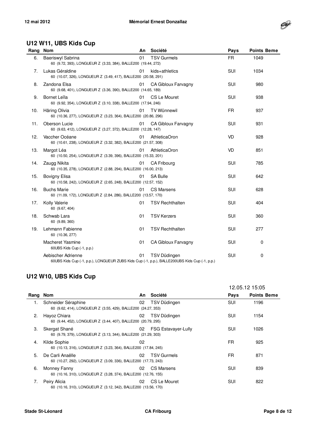

#### **U12 W11, UBS Kids Cup**

| Rang | <b>Nom</b>                                                                                                          | An | Société                    | Pays       | <b>Points Beme</b> |
|------|---------------------------------------------------------------------------------------------------------------------|----|----------------------------|------------|--------------------|
| 6.   | Baeriswyl Sabrina<br>60 (9.72, 393), LONGUEUR Z (3.33, 384), BALLE200 (19.44, 272)                                  | 01 | <b>TSV Gurmels</b>         | FR.        | 1049               |
| 7.   | Lukas Géraldine<br>60 (10.07, 326), LONGUEUR Z (3.49, 417), BALLE200 (20.58, 291)                                   | 01 | kids+athletics             | SUI        | 1034               |
| 8.   | Zandona Elsa<br>60 (9.68, 401), LONGUEUR Z (3.36, 390), BALLE200 (14.65, 189)                                       | 01 | <b>CA Gibloux Farvagny</b> | <b>SUI</b> | 980                |
| 9.   | Bornet Leïla<br>60 (9.92, 354), LONGUEUR Z (3.10, 338), BALLE200 (17.94, 246)                                       | 01 | CS Le Mouret               | SUI        | 938                |
| 10.  | Häring Olivia<br>60 (10.36, 277), LONGUEUR Z (3.23, 364), BALLE200 (20.86, 296)                                     | 01 | <b>TV Wünnewil</b>         | FR.        | 937                |
| 11.  | Oberson Lucie<br>60 (9.63, 412), LONGUEUR Z (3.27, 372), BALLE200 (12.28, 147)                                      | 01 | CA Gibloux Farvagny        | <b>SUI</b> | 931                |
| 12.  | Vaccher Océane<br>60 (10.61, 238), LONGUEUR Z (3.32, 382), BALLE200 (21.57, 308)                                    | 01 | <b>AthleticaOron</b>       | <b>VD</b>  | 928                |
| 13.  | Margot Léa<br>60 (10.50, 254), LONGUEUR Z (3.39, 396), BALLE200 (15.33, 201)                                        | 01 | AthleticaOron              | <b>VD</b>  | 851                |
| 14.  | Zaugg Nikita<br>60 (10.35, 278), LONGUEUR Z (2.88, 294), BALLE200 (16.00, 213)                                      | 01 | <b>CA Fribourg</b>         | SUI        | 785                |
| 15.  | <b>Bovigny Elisa</b><br>60 (10.58, 242), LONGUEUR Z (2.65, 248), BALLE200 (12.57, 152)                              | 01 | <b>SA Bulle</b>            | <b>SUI</b> | 642                |
| 16.  | <b>Buchs Marie</b><br>60 (11.09, 172), LONGUEUR Z (2.84, 286), BALLE200 (13.57, 170)                                | 01 | <b>CS Marsens</b>          | SUI        | 628                |
| 17.  | Kolly Valerie<br>60 (9.67, 404)                                                                                     | 01 | <b>TSV Rechthalten</b>     | <b>SUI</b> | 404                |
| 18.  | Schwab Lara<br>60 (9.89, 360)                                                                                       | 01 | <b>TSV Kerzers</b>         | <b>SUI</b> | 360                |
| 19.  | Lehmann Fabienne<br>60 (10.36, 277)                                                                                 | 01 | <b>TSV Rechthalten</b>     | <b>SUI</b> | 277                |
|      | <b>Macheret Yasmine</b><br>60UBS Kids Cup (-1, p.p.)                                                                | 01 | CA Gibloux Farvagny        | <b>SUI</b> | 0                  |
|      | Aebischer Adrienne<br>60UBS Kids Cup (-1, p.p.), LONGUEUR ZUBS Kids Cup (-1, p.p.), BALLE200UBS Kids Cup (-1, p.p.) | 01 | <b>TSV Düdingen</b>        | SUI        | 0                  |

#### **U12 W10, UBS Kids Cup**

|      |                                                                                      |    |                            | 12.05.12 15:05 |                    |
|------|--------------------------------------------------------------------------------------|----|----------------------------|----------------|--------------------|
| Rang | Nom                                                                                  | An | Société                    | Pays           | <b>Points Beme</b> |
| 1.   | Schneider Séraphine<br>60 (9.62, 414), LONGUEUR Z (3.55, 429), BALLE200 (24.27, 353) | 02 | TSV Düdingen               | SUI            | 1196               |
| 2.   | Hayoz Chiara<br>60 (9.44, 452), LONGUEUR Z (3.44, 407), BALLE200 (20.79, 295)        | 02 | TSV Düdingen               | SUI            | 1154               |
| 3.   | Skergat Shané<br>60 (9.79, 379), LONGUEUR Z (3.13, 344), BALLE200 (21.29, 303)       | 02 | <b>FSG Estavayer-Lully</b> | SUI            | 1026               |
| 4.   | Kilde Sophie<br>60 (10.13, 316), LONGUEUR Z (3.23, 364), BALLE200 (17.84, 245)       | 02 |                            | FR             | 925                |
| 5.   | De Carli Anaëlle<br>60 (10.27, 292), LONGUEUR Z (3.09, 336), BALLE200 (17.73, 243)   | 02 | <b>TSV Gurmels</b>         | FR             | 871                |
| 6.   | Monney Fanny<br>60 (10.16, 310), LONGUEUR Z (3.28, 374), BALLE200 (12.76, 155)       | 02 | <b>CS Marsens</b>          | SUI            | 839                |
| 7.   | Peiry Alicia<br>60 (10.16, 310), LONGUEUR Z (3.12, 342), BALLE200 (13.56, 170)       | 02 | CS Le Mouret               | SUI            | 822                |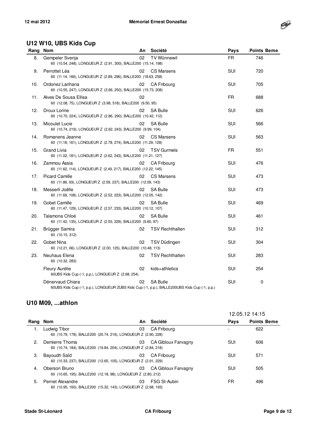

#### **U12 W10, UBS Kids Cup**

| Rang Nom |                                                                                                                   | An              | Société                | Pays       | <b>Points Beme</b> |
|----------|-------------------------------------------------------------------------------------------------------------------|-----------------|------------------------|------------|--------------------|
| 8.       | Gempeler Svenja<br>60 (10.54, 248), LONGUEUR Z (2.91, 300), BALLE200 (15.14, 198)                                 | 02              | TV Wünnewil            | FR.        | 746                |
| 9.       | Perrottet Léa<br>60 (11.14, 166), LONGUEUR Z (2.89, 296), BALLE200 (18.63, 258)                                   | 02 <sub>2</sub> | <b>CS Marsens</b>      | SUI        | 720                |
| 10.      | Ordonez Larihana<br>60 (10.55, 247), LONGUEUR Z (2.66, 250), BALLE200 (15.73, 208)                                | 02              | <b>CA Fribourg</b>     | SUI        | 705                |
| 11.      | Alves De Sousa Ellisa<br>60 (12.08, 75), LONGUEUR Z (3.98, 518), BALLE200 (9.50, 95)                              | 02              |                        | FR.        | 688                |
| 12.      | Droux Lorine<br>60 (10.70, 224), LONGUEUR Z (2.86, 290), BALLE200 (10.42, 112)                                    | 02 <sub>2</sub> | SA Bulle               | SUI        | 626                |
| 13.      | Micoulet Lucie<br>60 (10.74, 219), LONGUEUR Z (2.62, 243), BALLE200 (9.99, 104)                                   | 02              | <b>SA Bulle</b>        | SUI        | 566                |
| 14.      | Romanens Jeanne<br>60 (11.18, 161), LONGUEUR Z (2.78, 274), BALLE200 (11.29, 128)                                 | 02              | <b>CS Marsens</b>      | SUI        | 563                |
| 15.      | <b>Grand Livia</b><br>60 (11.02, 181), LONGUEUR Z (2.62, 243), BALLE200 (11.21, 127)                              | 02              | <b>TSV Gurmels</b>     | FR.        | 551                |
| 16.      | Zammou Assia<br>60 (11.62, 114), LONGUEUR Z (2.49, 217), BALLE200 (12.22, 145)                                    | 02              | CA Fribourg            | SUI        | 476                |
| 17.      | <b>Picard Camille</b><br>60 (11.86, 93), LONGUEUR Z (2.59, 237), BALLE200 (12.09, 143)                            | 02              | CS Marsens             | SUI        | 473                |
| 18.      | Messerli Joëlle<br>60 (11.69, 108), LONGUEUR Z (2.52, 223), BALLE200 (12.05, 142)                                 | 02              | <b>SA Bulle</b>        | SUI        | 473                |
| 19.      | Gobet Camille<br>60 (11.47, 129), LONGUEUR Z (2.57, 233), BALLE200 (10.12, 107)                                   | 02              | <b>SA Bulle</b>        | SUI        | 469                |
| 20.      | Talamona Chloé<br>60 (11.42, 135), LONGUEUR Z (2.55, 229), BALLE200 (9.60, 97)                                    | 02              | <b>SA Bulle</b>        | SUI        | 461                |
| 21.      | Brügger Samira<br>60 (10.15, 312)                                                                                 | 02              | <b>TSV Rechthalten</b> | SUI        | 312                |
| 22.      | Gobet Nina<br>60 (12.21, 66), LONGUEUR Z (2.00, 125), BALLE200 (10.48, 113)                                       | 02              | TSV Düdingen           | SUI        | 304                |
| 23.      | Neuhaus Elena<br>60 (10.32, 283)                                                                                  | 02              | <b>TSV Rechthalten</b> | <b>SUI</b> | 283                |
|          | Fleury Aurélie<br>60UBS Kids Cup (-1, p.p.), LONGUEUR Z (2.68, 254)                                               | 02              | kids+athletics         | SUI        | 254                |
|          | Dénervaud Chiara<br>60UBS Kids Cup (-1, p.p.), LONGUEUR ZUBS Kids Cup (-1, p.p.), BALLE200UBS Kids Cup (-1, p.p.) | 02              | <b>SA Bulle</b>        | SUI        | 0                  |

#### **U10 M09, ...athlon**

|      |                                                                                    |    |                     | 12.05.12 14:15 |                    |
|------|------------------------------------------------------------------------------------|----|---------------------|----------------|--------------------|
| Rang | Nom                                                                                | An | Société             | Pays           | <b>Points Beme</b> |
| 1.   | Ludwig Tibor<br>60 (10.79, 178), BALLE200 (20.74, 216), LONGUEUR Z (2.90, 228)     | 03 | CA Fribourg         |                | 622                |
| 2.   | Demierre Thoma<br>60 (10.74, 184), BALLE200 (19.84, 204), LONGUEUR Z (2.84, 218)   | 03 | CA Gibloux Farvagny | SUI            | 606                |
| 3.   | Bayoudh Saïd<br>60 (10.33, 237), BALLE200 (12.65, 105), LONGUEUR Z (2.91, 229)     | 03 | CA Fribourg         | SUI            | 571                |
| 4.   | Oberson Bruno<br>60 (10.65, 195), BALLE200 (12.18, 98), LONGUEUR Z (2.80, 212)     | 03 | CA Gibloux Farvagny | SUI            | 505                |
| 5.   | Pernet Alexandre<br>60 (10.95, 160), BALLE200 (15.32, 143), LONGUEUR Z (2.68, 193) | 03 | FSG St-Aubin        | FR             | 496                |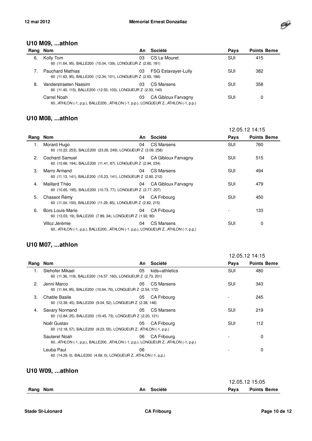

#### **U10 M09, ...athlon**

|    | Rang Nom                                                                                   |    | An Société                 | Pays       | <b>Points Beme</b> |
|----|--------------------------------------------------------------------------------------------|----|----------------------------|------------|--------------------|
| 6. | Kolly Tom<br>60 (11.64, 95), BALLE200 (15.04, 139), LONGUEUR Z (2.60, 181)                 | 03 | CS Le Mouret               | <b>SUI</b> | 415                |
|    | <b>Pauchard Mathias</b><br>60 (11.63, 95), BALLE200 (12.34, 101), LONGUEUR Z (2.63, 186)   | 03 | <b>FSG Estavayer-Lully</b> | SUI        | 382                |
| 8. | Vanderstraeten Nassim<br>60 (11.40, 115), BALLE200 (12.53, 103), LONGUEUR Z (2.33, 140)    | 03 | CS Marsens                 | SUI        | 358                |
|    | Carrel Noah<br>60ATHLON (-1, p.p.), BALLE200ATHLON (-1, p.p.), LONGUEUR ZATHLON (-1, p.p.) | 03 | CA Gibloux Farvagny        | SUI        | 0                  |

#### **U10 M08, ...athlon**

|          |                                                                                               |    |                     |      | 12.05.12 14:15     |
|----------|-----------------------------------------------------------------------------------------------|----|---------------------|------|--------------------|
| Rang Nom |                                                                                               | An | Société             | Pays | <b>Points Beme</b> |
| 1.       | Morard Hugo<br>60 (10.22, 253), BALLE200 (23.26, 249), LONGUEUR Z (3.09, 258)                 | 04 | CS Marsens          | SUI  | 760                |
| 2.       | Cochard Samuel<br>60 (10.66, 194), BALLE200 (11.41, 87), LONGUEUR Z (2.94, 234)               | 04 | CA Gibloux Farvagny | SUI  | 515                |
| 3.       | Marro Armand<br>60 (11.13, 141), BALLE200 (15.23, 141), LONGUEUR Z (2.80, 212)                | 04 | CS Marsens          | SUI  | 494                |
| 4.       | Maillard Théo<br>60 (10.65, 195), BALLE200 (10.73, 77), LONGUEUR Z (2.77, 207)                | 04 | CA Gibloux Farvagny | SUI  | 479                |
| 5.       | Chassot Rémy<br>60 (11.04, 150), BALLE200 (11.29, 85), LONGUEUR Z (2.82, 215)                 | 04 | CA Fribourg         | SUI  | 450                |
| 6.       | Bors Louis-Marie<br>60 (13.03, 19), BALLE200 (7.89, 34), LONGUEUR Z (1.92, 80)                | 04 | CA Fribourg         |      | 133                |
|          | Villoz Jérémie<br>60ATHLON (-1, p.p.), BALLE200ATHLON (-1, p.p.), LONGUEUR ZATHLON (-1, p.p.) | 04 | CS Marsens          | SUI  | 0                  |

#### **U10 M07, ...athlon**

|      |                                                                                              |    |                | 12.05.12 14:15 |                    |
|------|----------------------------------------------------------------------------------------------|----|----------------|----------------|--------------------|
| Rang | Nom                                                                                          | An | Société        | Pays           | <b>Points Beme</b> |
|      | Slehofer Mikael<br>60 (11.36, 119), BALLE200 (16.57, 160), LONGUEUR Z (2.73, 201)            | 05 | kids+athletics | <b>SUI</b>     | 480                |
| 2.   | Jenni Marco<br>60 (11.64, 95), BALLE200 (10.64, 76), LONGUEUR Z (2.54, 172)                  | 05 | CS Marsens     | SUI            | 343                |
| 3.   | Chable Basile<br>60 (12.39, 45), BALLE200 (9.04, 52), LONGUEUR Z (2.38, 148)                 | 05 | CA Fribourg    |                | 245                |
| 4.   | Savary Normand<br>60 (12.84, 25), BALLE200 (10.45, 73), LONGUEUR Z (2.20, 121)               | 05 | CS Marsens     | SUI            | 219                |
|      | Noël Gustav<br>60 (12.18, 57), BALLE200 (9.23, 55), LONGUEUR ZATHLON (-1, p.p.)              | 05 | CA Fribourg    | SUI            | 112                |
|      | Sauterel Noah<br>60ATHLON (-1, p.p.), BALLE200ATHLON (-1, p.p.), LONGUEUR ZATHLON (-1, p.p.) | 06 | CA Fribourg    |                | 0                  |
|      | Leuba Paul<br>60 (14.29, 0), BALLE200 (4.69, 0), LONGUEUR ZATHLON (-1, p.p.)                 | 06 |                |                | 0                  |

#### **U10 W09, ...athlon**

|          |            |      | 12.05.12 15:05     |  |
|----------|------------|------|--------------------|--|
| Rang Nom | An Société | Pavs | <b>Points Beme</b> |  |
|          |            |      |                    |  |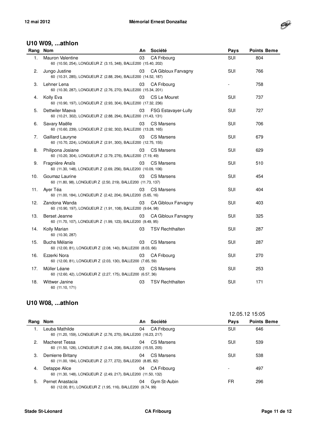

#### **U10 W09, ...athlon**

| Rang | <b>Nom</b>                                                                          | An | Société                    | Pays       | <b>Points Beme</b> |
|------|-------------------------------------------------------------------------------------|----|----------------------------|------------|--------------------|
| 1.   | Mauron Valentine<br>60 (10.50, 254), LONGUEUR Z (3.15, 348), BALLE200 (15.40, 202)  | 03 | CA Fribourg                | SUI        | 804                |
| 2.   | Jungo Justine<br>60 (10.31, 285), LONGUEUR Z (2.88, 294), BALLE200 (14.52, 187)     | 03 | CA Gibloux Farvagny        | SUI        | 766                |
| 3.   | Lehner Lena<br>60 (10.30, 287), LONGUEUR Z (2.76, 270), BALLE200 (15.34, 201)       | 03 | CA Fribourg                |            | 758                |
| 4.   | Kolly Eva<br>60 (10.90, 197), LONGUEUR Z (2.93, 304), BALLE200 (17.32, 236)         | 03 | CS Le Mouret               | SUI        | 737                |
| 5.   | Dettwiler Maeva<br>60 (10.21, 302), LONGUEUR Z (2.88, 294), BALLE200 (11.43, 131)   | 03 | <b>FSG Estavayer-Lully</b> | SUI        | 727                |
| 6.   | Savary Maëlle<br>60 (10.60, 239), LONGUEUR Z (2.92, 302), BALLE200 (13.28, 165)     | 03 | CS Marsens                 | SUI        | 706                |
| 7.   | Gaillard Lauryne<br>60 (10.70, 224), LONGUEUR Z (2.91, 300), BALLE200 (12.75, 155)  | 03 | <b>CS Marsens</b>          | SUI        | 679                |
| 8.   | Philipona Josiane<br>60 (10.20, 304), LONGUEUR Z (2.79, 276), BALLE200 (7.19, 49)   | 03 | <b>CS Marsens</b>          | <b>SUI</b> | 629                |
| 9.   | Fragnière Anaïs<br>60 (11.30, 148), LONGUEUR Z (2.69, 256), BALLE200 (10.09, 106)   | 03 | <b>CS Marsens</b>          | SUI        | 510                |
| 10.  | Goumaz Laurine<br>60 (11.80, 98), LONGUEUR Z (2.50, 219), BALLE200 (11.73, 137)     | 03 | <b>CS Marsens</b>          | SUI        | 454                |
| 11.  | Ayer Téa<br>60 (11.00, 184), LONGUEUR Z (2.42, 204), BALLE200 (5.65, 16)            | 03 | <b>CS Marsens</b>          | <b>SUI</b> | 404                |
| 12.  | Zandona Wanda<br>60 (10.90, 197), LONGUEUR Z (1.91, 108), BALLE200 (9.64, 98)       | 03 | CA Gibloux Farvagny        | <b>SUI</b> | 403                |
| 13.  | Berset Jeanne<br>60 (11.70, 107), LONGUEUR Z (1.99, 123), BALLE200 (9.49, 95)       | 03 | CA Gibloux Farvagny        | SUI        | 325                |
| 14.  | Kolly Marian<br>60 (10.30, 287)                                                     | 03 | <b>TSV Rechthalten</b>     | <b>SUI</b> | 287                |
| 15.  | <b>Buchs Mélanie</b><br>60 (12.00, 81), LONGUEUR Z (2.08, 140), BALLE200 (8.03, 66) | 03 | <b>CS Marsens</b>          | SUI        | 287                |
| 16.  | Ezzerki Nora<br>60 (12.00, 81), LONGUEUR Z (2.03, 130), BALLE200 (7.65, 59)         | 03 | <b>CA Fribourg</b>         | SUI        | 270                |
| 17.  | Müller Léane<br>60 (12.60, 42), LONGUEUR Z (2.27, 175), BALLE200 (6.57, 36)         | 03 | <b>CS Marsens</b>          | SUI        | 253                |
| 18.  | Wittwer Janine<br>60 (11.10, 171)                                                   | 03 | <b>TSV Rechthalten</b>     | SUI        | 171                |

#### **U10 W08, ...athlon**

|      |                                                                                  |    |              | 12.05.12 15:05 |                    |
|------|----------------------------------------------------------------------------------|----|--------------|----------------|--------------------|
| Rang | Nom                                                                              | An | Société      | Pays           | <b>Points Beme</b> |
|      | Leuba Mathilde<br>60 (11.20, 159), LONGUEUR Z (2.76, 270), BALLE200 (16.23, 217) | 04 | CA Fribourg  | SUI            | 646                |
| 2.   | Macheret Tessa<br>60 (11.50, 126), LONGUEUR Z (2.44, 208), BALLE200 (15.55, 205) | 04 | CS Marsens   | SUI            | 539                |
| 3.   | Demierre Britany<br>60 (11.00, 184), LONGUEUR Z (2.77, 272), BALLE200 (8.85, 82) | 04 | CS Marsens   | SUI            | 538                |
| 4.   | Detappe Alice<br>60 (11.30, 148), LONGUEUR Z (2.49, 217), BALLE200 (11.50, 132)  | 04 | CA Fribourg  |                | 497                |
| 5.   | Pernet Anastacia<br>60 (12.00, 81), LONGUEUR Z (1.95, 116), BALLE200 (9.74, 99)  | 04 | Gym St-Aubin | FR             | 296                |